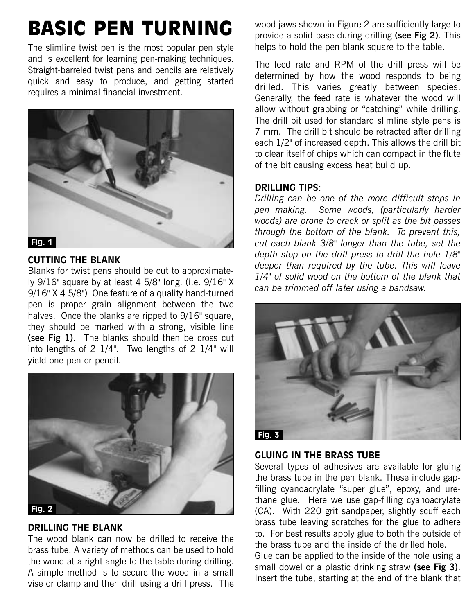# BASIC PEN TURNING

The slimline twist pen is the most popular pen style and is excellent for learning pen-making techniques. Straight-barreled twist pens and pencils are relatively quick and easy to produce, and getting started requires a minimal financial investment.



## **CUTTING THE BLANK**

Blanks for twist pens should be cut to approximately 9/16" square by at least 4 5/8" long. (i.e. 9/16" X 9/16" X 4 5/8") One feature of a quality hand-turned pen is proper grain alignment between the two halves. Once the blanks are ripped to 9/16" square, they should be marked with a strong, visible line **(see Fig 1)**. The blanks should then be cross cut into lengths of 2 1/4". Two lengths of 2 1/4" will yield one pen or pencil.



## **DRILLING THE BLANK**

The wood blank can now be drilled to receive the brass tube. A variety of methods can be used to hold the wood at a right angle to the table during drilling. A simple method is to secure the wood in a small vise or clamp and then drill using a drill press. The

wood jaws shown in Figure 2 are sufficiently large to provide a solid base during drilling **(see Fig 2)**. This helps to hold the pen blank square to the table.

The feed rate and RPM of the drill press will be determined by how the wood responds to being drilled. This varies greatly between species. Generally, the feed rate is whatever the wood will allow without grabbing or "catching" while drilling. The drill bit used for standard slimline style pens is 7 mm. The drill bit should be retracted after drilling each 1/2" of increased depth. This allows the drill bit to clear itself of chips which can compact in the flute of the bit causing excess heat build up.

## **DRILLING TIPS:**

*Drilling can be one of the more difficult steps in pen making. Some woods, (particularly harder woods) are prone to crack or split as the bit passes through the bottom of the blank. To prevent this, cut each blank 3/8" longer than the tube, set the depth stop on the drill press to drill the hole 1/8" deeper than required by the tube. This will leave 1/4" of solid wood on the bottom of the blank that can be trimmed off later using a bandsaw.*



# **GLUING IN THE BRASS TUBE**

Several types of adhesives are available for gluing the brass tube in the pen blank. These include gapfilling cyanoacrylate "super glue", epoxy, and urethane glue. Here we use gap-filling cyanoacrylate (CA). With 220 grit sandpaper, slightly scuff each brass tube leaving scratches for the glue to adhere to. For best results apply glue to both the outside of the brass tube and the inside of the drilled hole. Glue can be applied to the inside of the hole using a small dowel or a plastic drinking straw **(see Fig 3)**. Insert the tube, starting at the end of the blank that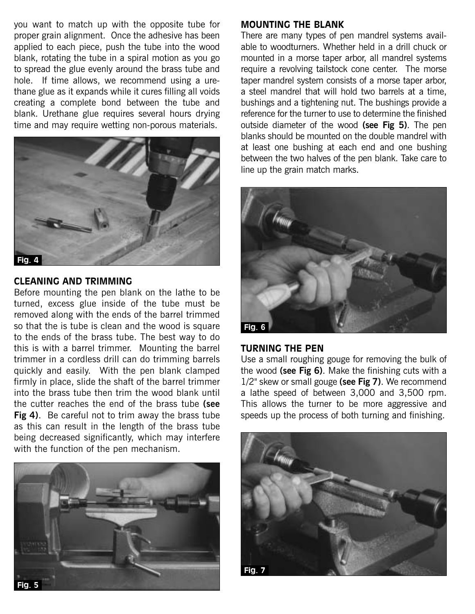you want to match up with the opposite tube for proper grain alignment. Once the adhesive has been applied to each piece, push the tube into the wood blank, rotating the tube in a spiral motion as you go to spread the glue evenly around the brass tube and hole. If time allows, we recommend using a urethane glue as it expands while it cures filling all voids creating a complete bond between the tube and blank. Urethane glue requires several hours drying time and may require wetting non-porous materials.



## **CLEANING AND TRIMMING**

Before mounting the pen blank on the lathe to be turned, excess glue inside of the tube must be removed along with the ends of the barrel trimmed so that the is tube is clean and the wood is square to the ends of the brass tube. The best way to do this is with a barrel trimmer. Mounting the barrel trimmer in a cordless drill can do trimming barrels quickly and easily. With the pen blank clamped firmly in place, slide the shaft of the barrel trimmer into the brass tube then trim the wood blank until the cutter reaches the end of the brass tube **(see Fig 4)**. Be careful not to trim away the brass tube as this can result in the length of the brass tube being decreased significantly, which may interfere with the function of the pen mechanism.



## **MOUNTING THE BLANK**

There are many types of pen mandrel systems available to woodturners. Whether held in a drill chuck or mounted in a morse taper arbor, all mandrel systems require a revolving tailstock cone center. The morse taper mandrel system consists of a morse taper arbor, a steel mandrel that will hold two barrels at a time, bushings and a tightening nut. The bushings provide a reference for the turner to use to determine the finished outside diameter of the wood **(see Fig 5)**. The pen blanks should be mounted on the double mandrel with at least one bushing at each end and one bushing between the two halves of the pen blank. Take care to line up the grain match marks.



## **TURNING THE PEN**

Use a small roughing gouge for removing the bulk of the wood **(see Fig 6)**. Make the finishing cuts with a 1/2" skew or small gouge **(see Fig 7)**. We recommend a lathe speed of between 3,000 and 3,500 rpm. This allows the turner to be more aggressive and speeds up the process of both turning and finishing.

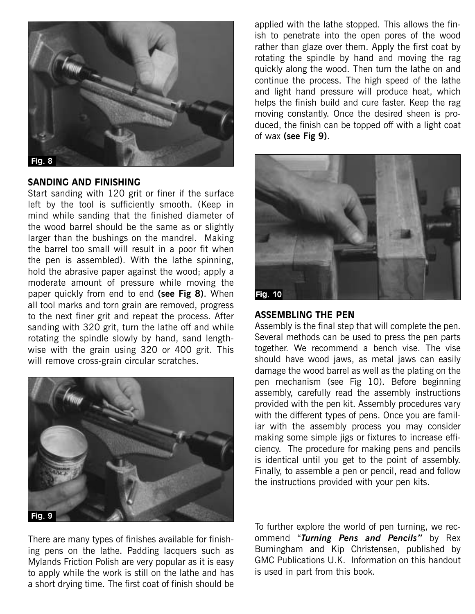

#### **SANDING AND FINISHING**

Start sanding with 120 grit or finer if the surface left by the tool is sufficiently smooth. (Keep in mind while sanding that the finished diameter of the wood barrel should be the same as or slightly larger than the bushings on the mandrel. Making the barrel too small will result in a poor fit when the pen is assembled). With the lathe spinning, hold the abrasive paper against the wood; apply a moderate amount of pressure while moving the paper quickly from end to end **(see Fig 8)**. When all tool marks and torn grain are removed, progress to the next finer grit and repeat the process. After sanding with 320 grit, turn the lathe off and while rotating the spindle slowly by hand, sand lengthwise with the grain using 320 or 400 grit. This will remove cross-grain circular scratches.



There are many types of finishes available for finishing pens on the lathe. Padding lacquers such as Mylands Friction Polish are very popular as it is easy to apply while the work is still on the lathe and has a short drying time. The first coat of finish should be

applied with the lathe stopped. This allows the finish to penetrate into the open pores of the wood rather than glaze over them. Apply the first coat by rotating the spindle by hand and moving the rag quickly along the wood. Then turn the lathe on and continue the process. The high speed of the lathe and light hand pressure will produce heat, which helps the finish build and cure faster. Keep the rag moving constantly. Once the desired sheen is produced, the finish can be topped off with a light coat of wax **(see Fig 9)**.



## **ASSEMBLING THE PEN**

Assembly is the final step that will complete the pen. Several methods can be used to press the pen parts together. We recommend a bench vise. The vise should have wood jaws, as metal jaws can easily damage the wood barrel as well as the plating on the pen mechanism (see Fig 10). Before beginning assembly, carefully read the assembly instructions provided with the pen kit. Assembly procedures vary with the different types of pens. Once you are familiar with the assembly process you may consider making some simple jigs or fixtures to increase efficiency. The procedure for making pens and pencils is identical until you get to the point of assembly. Finally, to assemble a pen or pencil, read and follow the instructions provided with your pen kits.

To further explore the world of pen turning, we recommend "*Turning Pens and Pencils"* by Rex Burningham and Kip Christensen, published by GMC Publications U.K. Information on this handout is used in part from this book.